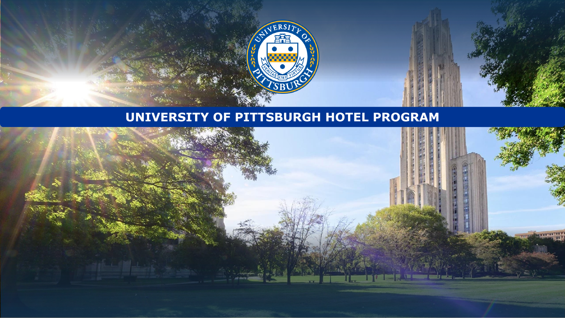

### **UNIVERSITY OF PITTSBURGH HOTEL PROGRAM**

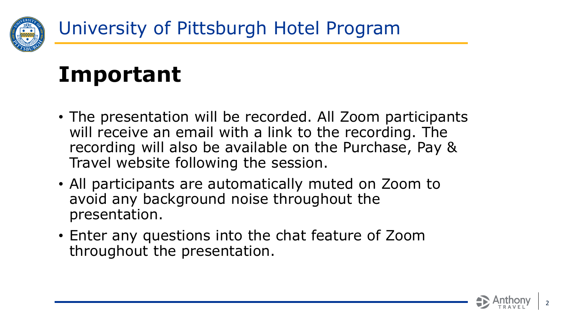

# **Important**

- The presentation will be recorded. All Zoom participants will receive an email with a link to the recording. The recording will also be available on the Purchase, Pay & Travel website following the session.
- All participants are automatically muted on Zoom to avoid any background noise throughout the presentation.
- Enter any questions into the chat feature of Zoom throughout the presentation.

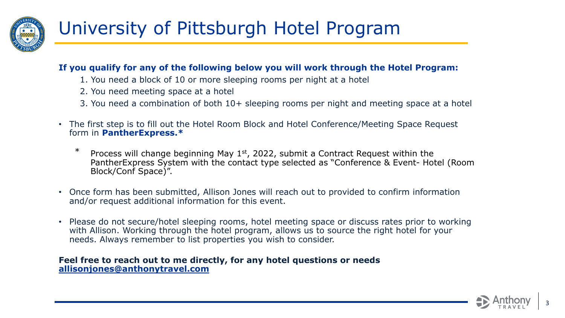

#### **If you qualify for any of the following below you will work through the Hotel Program:**

- 1. You need a block of 10 or more sleeping rooms per night at a hotel
- 2. You need meeting space at a hotel
- 3. You need a combination of both 10+ sleeping rooms per night and meeting space at a hotel
- The first step is to fill out the Hotel Room Block and Hotel Conference/Meeting Space Request form in **PantherExpress.\***
	- \* Process will change beginning May 1<sup>st</sup>, 2022, submit a Contract Request within the PantherExpress System with the contact type selected as "Conference & Event- Hotel (Room Block/Conf Space)".
- Once form has been submitted, Allison Jones will reach out to provided to confirm information and/or request additional information for this event.
- Please do not secure/hotel sleeping rooms, hotel meeting space or discuss rates prior to working with Allison. Working through the hotel program, allows us to source the right hotel for your needs. Always remember to list properties you wish to consider.

#### **Feel free to reach out to me directly, for any hotel questions or needs [allisonjones@anthonytravel.com](mailto:allisonjones@anthonytravel.com)**

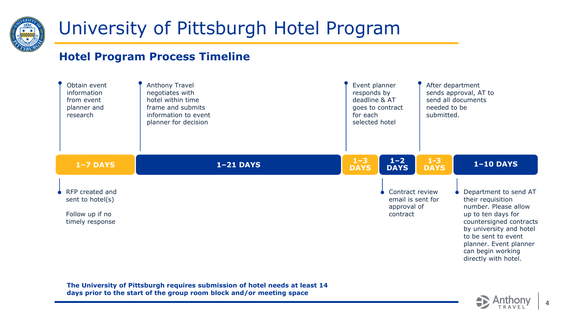

### **Hotel Program Process Timeline**



**The University of Pittsburgh requires submission of hotel needs at least 14 days prior to the start of the group room block and/or meeting space**



4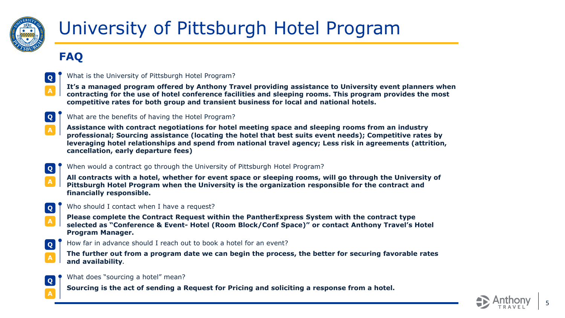

### **FAQ**



**Q** What is the University of Pittsburgh Hotel Program?

**It's a managed program offered by Anthony Travel providing assistance to University event planners when contracting for the use of hotel conference facilities and sleeping rooms. This program provides the most competitive rates for both group and transient business for local and national hotels.**



**A**

#### **Q** What are the benefits of having the Hotel Program?

**Assistance with contract negotiations for hotel meeting space and sleeping rooms from an industry professional; Sourcing assistance (locating the hotel that best suits event needs); Competitive rates by leveraging hotel relationships and spend from national travel agency; Less risk in agreements (attrition, cancellation, early departure fees)**



**All contracts with a hotel, whether for event space or sleeping rooms, will go through the University of Pittsburgh Hotel Program when the University is the organization responsible for the contract and financially responsible.**



**A**

#### **Q** Who should I contact when I have a request?

**Please complete the Contract Request within the PantherExpress System with the contract type selected as "Conference & Event- Hotel (Room Block/Conf Space)" or contact Anthony Travel's Hotel Program Manager.**



**Q** How far in advance should I reach out to book a hotel for an event?

**The further out from a program date we can begin the process, the better for securing favorable rates and availability.**



What does "sourcing a hotel" mean?

**Sourcing is the act of sending a Request for Pricing and soliciting a response from a hotel.**

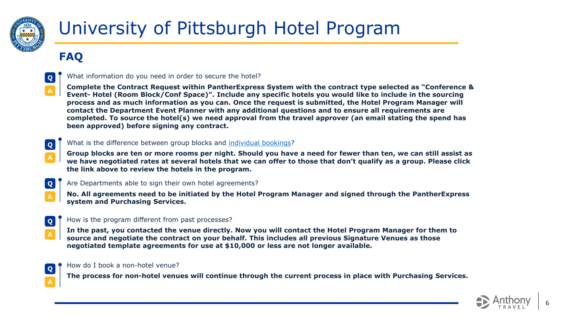

### **FAQ**



What information do you need in order to secure the hotel?

**Complete the Contract Request within PantherExpress System with the contract type selected as "Conference & Event- Hotel (Room Block/Conf Space)". Include any specific hotels you would like to include in the sourcing process and as much information as you can. Once the request is submitted, the Hotel Program Manager will contact the Department Event Planner with any additional questions and to ensure all requirements are completed. To source the hotel(s) we need approval from the travel approver (an email stating the spend has been approved) before signing any contract.**



#### **Q** What is the difference between group blocks and [individual bookings](https://www.ppt.pitt.edu/travel-expenses/local-hotels)?

**Group blocks are ten or more rooms per night. Should you have a need for fewer than ten, we can still assist as we have negotiated rates at several hotels that we can offer to those that don't qualify as a group. Please click the link above to review the hotels in the program.** 



Are Departments able to sign their own hotel agreements?

**No. All agreements need to be initiated by the Hotel Program Manager and signed through the PantherExpress system and Purchasing Services.**



#### How is the program different from past processes?

**In the past, you contacted the venue directly. Now you will contact the Hotel Program Manager for them to source and negotiate the contract on your behalf. This includes all previous Signature Venues as those negotiated template agreements for use at \$10,000 or less are not longer available.** 



How do I book a non-hotel venue?

**The process for non-hotel venues will continue through the current process in place with Purchasing Services.**